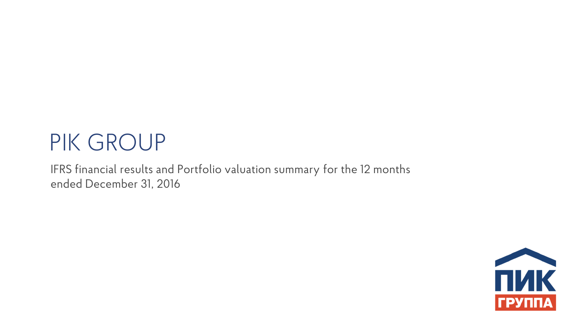# PIK GROUP

IFRS financial results and Portfolio valuation summary for the 12 months ended December 31, 2016

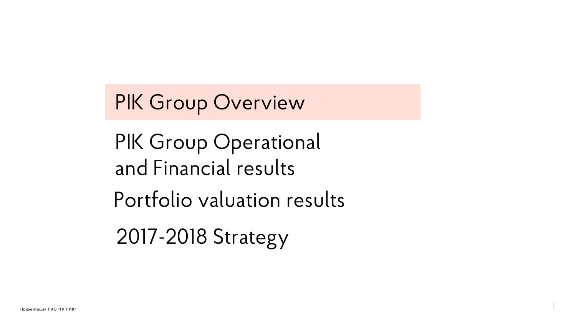PIK Group Operational and Financial results Portfolio valuation results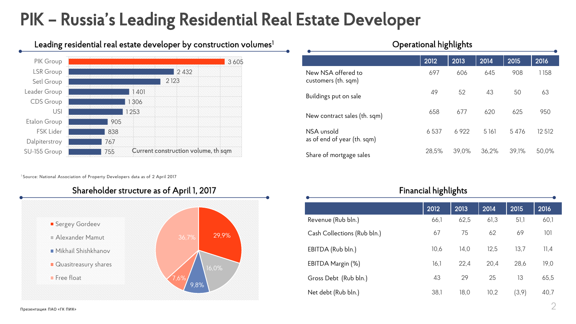### PIK – Russia's Leading Residential Real Estate Developer



Leading residential real estate developer by construction volumes<sup>1</sup>

<sup>1</sup> Source: National Association of Property Developers data as of 2 April 2017



| $\sim$ por ation in Finite in Figure      |       |       |         |       |         |  |  |
|-------------------------------------------|-------|-------|---------|-------|---------|--|--|
|                                           | 2012  | 2013  | 2014    | 2015  | 2016    |  |  |
| New NSA offered to<br>customers (th. sqm) | 697   | 606   | 645     | 908   | 1158    |  |  |
| Buildings put on sale                     | 49    | 52    | 43      | 50    | 63      |  |  |
| New contract sales (th. sqm)              | 658   | 677   | 620     | 625   | 950     |  |  |
| NSA unsold<br>as of end of year (th. sqm) | 6537  | 6922  | 5 1 6 1 | 5476  | 12 5 12 |  |  |
| Share of mortgage sales                   | 28,5% | 39,0% | 36,2%   | 39,1% | 50,0%   |  |  |

Operational highlights

| <b>Financial highlights</b> |      |      |      |        |      |  |  |
|-----------------------------|------|------|------|--------|------|--|--|
|                             | 2012 | 2013 | 2014 | 2015   | 2016 |  |  |
| Revenue (Rub bln.)          | 66,1 | 62,5 | 61,3 | 51,1   | 60,1 |  |  |
| Cash Collections (Rub bln.) | 67   | 75   | 62   | 69     | 101  |  |  |
| EBITDA (Rub bln.)           | 10,6 | 14,0 | 12,5 | 13,7   | 11,4 |  |  |
| EBITDA Margin (%)           | 16,1 | 22,4 | 20,4 | 28,6   | 19,0 |  |  |
| Gross Debt (Rub bln.)       | 43   | 29   | 25   | 13     | 65,5 |  |  |
| Net debt (Rub bln.)         | 38,1 | 18,0 | 10,2 | (3, 9) | 40,7 |  |  |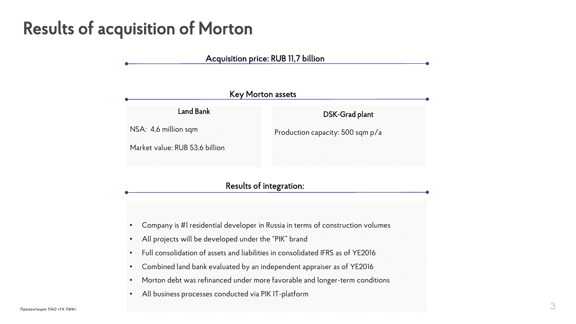#### Results of acquisition of Morton



• All business processes conducted via PIK IT-platform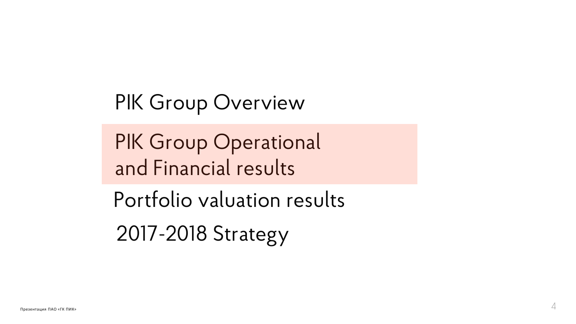PIK Group Operational and Financial results

Portfolio valuation results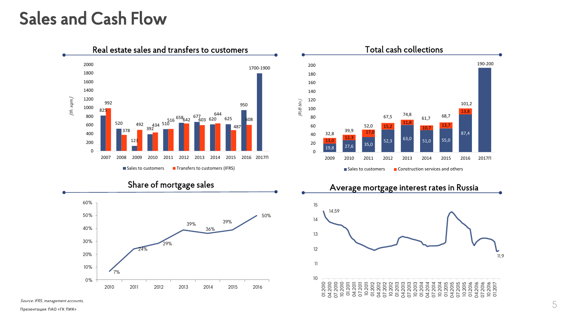#### Sales and Cash Flow



Source: IFRS, management accounts,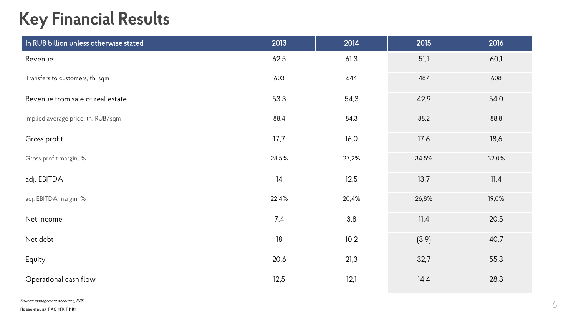### Key Financial Results

| In RUB billion unless otherwise stated | 2013   | 2014  | 2015   | 2016  |
|----------------------------------------|--------|-------|--------|-------|
| Revenue                                | 62,5   | 61,3  | 51,1   | 60,1  |
| Transfers to customers, th. sqm        | 603    | 644   | 487    | 608   |
| Revenue from sale of real estate       | 53,3   | 54,3  | 42,9   | 54,0  |
| Implied average price, th. RUB/sqm     | 88,4   | 84,3  | 88,2   | 88,8  |
| Gross profit                           | 17,7   | 16,0  | 17,6   | 18,6  |
| Gross profit margin, %                 | 28,5%  | 27,2% | 34,5%  | 32,0% |
| adj. EBITDA                            | 14     | 12,5  | 13,7   | 11,4  |
| adj. EBITDA margin, %                  | 22,4%  | 20,4% | 26,8%  | 19,0% |
| Net income                             | 7,4    | 3,8   | 11,4   | 20,5  |
| Net debt                               | $18\,$ | 10,2  | (3, 9) | 40,7  |
| Equity                                 | 20,6   | 21,3  | 32,7   | 55,3  |
| Operational cash flow                  | 12,5   | 12,1  | 14,4   | 28,3  |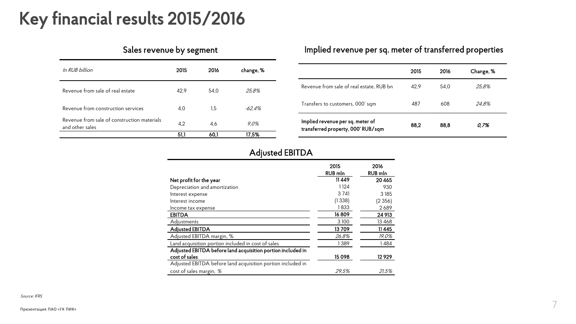#### Key financial results 2015/2016

| In RUB hillion                                                 | 2015 | 2016 | change, % |
|----------------------------------------------------------------|------|------|-----------|
| Revenue from sale of real estate                               | 42.9 | 54.0 | 25,8%     |
| Revenue from construction services                             | 4.0  | 1.5  | -62,4%    |
| Revenue from sale of construction materials<br>and other sales | 4.2  | 4,6  | 9,0%      |
|                                                                | 51,1 | 60.1 | 17,5%     |

#### Sales revenue by segment **Implied revenue per sq. meter of transferred** properties

|                                                                        | 2015 | 2016 | Change, % |
|------------------------------------------------------------------------|------|------|-----------|
| Revenue from sale of real estate, RUB bn                               | 42.9 | 54.0 | 25.8%     |
| Transfers to customers, 000' sqm                                       | 487  | 608  | 24.8%     |
| Implied revenue per sq. meter of<br>transferred property, 000' RUB/sqm | 88.2 | 88,8 | 0.7%      |

#### Adjusted EBITDA

|                                                             | 2015<br><b>RUB</b> mln | 2016<br><b>RUB</b> mln |
|-------------------------------------------------------------|------------------------|------------------------|
| Net profit for the year                                     | 11449                  | 20 4 65                |
| Depreciation and amortization                               | 1124                   | 930                    |
| Interest expense                                            | 3 7 4 1                | 3 1 8 5                |
| Interest income                                             | (1338)                 | (2356)                 |
| Income tax expense                                          | 1833                   | 2689                   |
| <b>EBITDA</b>                                               | 16809                  | 24 913                 |
| Adjustments                                                 | 3 1 0 0                | 13 4 68                |
| <b>Adjusted EBITDA</b>                                      | 13709                  | 11 4 4 5               |
| Adjusted EBITDA margin, %                                   | 26,8%                  | 19,0%                  |
| Land acquisition portion included in cost of sales          | 1389                   | 1484                   |
| Adjusted EBITDA before land acquisition portion included in |                        |                        |
| cost of sales                                               | 15098                  | 12929                  |
| Adjusted EBITDA before land acquisition portion included in |                        |                        |
| cost of sales margin, %                                     | 29.5%                  | 21.5%                  |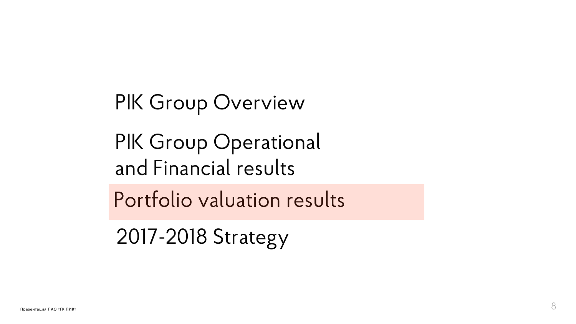PIK Group Operational and Financial results

Portfolio valuation results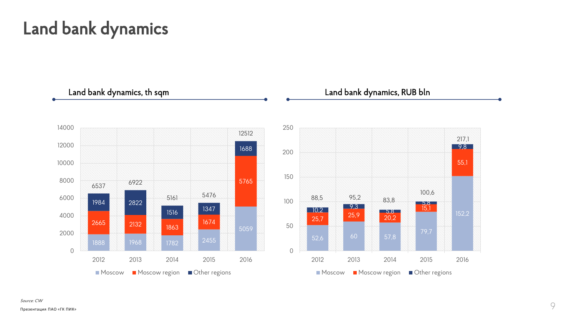#### Land bank dynamics



Source: CW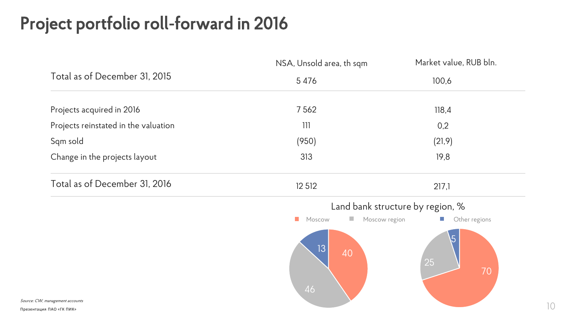## Project portfolio roll-forward in 2016

| Total as of December 31, 2015<br>5 4 7 6<br>100,6<br>Projects acquired in 2016<br>7562<br>118,4<br>Projects reinstated in the valuation<br>0,2<br>111<br>Sqm sold<br>(950)<br>(21, 9)<br>313<br>Change in the projects layout<br>19,8<br>Total as of December 31, 2016<br>12 5 12<br>217,1<br>Land bank structure by region, %<br>Moscow region<br>$\mathcal{L}_{\mathcal{A}}$<br>Moscow<br>$\mathcal{L}_{\mathcal{A}}$<br>$\overline{5}$<br>13<br>40<br>25 | NSA, Unsold area, th sqm | Market value, RUB bln. |
|-------------------------------------------------------------------------------------------------------------------------------------------------------------------------------------------------------------------------------------------------------------------------------------------------------------------------------------------------------------------------------------------------------------------------------------------------------------|--------------------------|------------------------|
|                                                                                                                                                                                                                                                                                                                                                                                                                                                             |                          |                        |
|                                                                                                                                                                                                                                                                                                                                                                                                                                                             |                          |                        |
|                                                                                                                                                                                                                                                                                                                                                                                                                                                             |                          |                        |
|                                                                                                                                                                                                                                                                                                                                                                                                                                                             |                          |                        |
|                                                                                                                                                                                                                                                                                                                                                                                                                                                             |                          |                        |
|                                                                                                                                                                                                                                                                                                                                                                                                                                                             |                          |                        |
|                                                                                                                                                                                                                                                                                                                                                                                                                                                             |                          |                        |
|                                                                                                                                                                                                                                                                                                                                                                                                                                                             |                          | Other regions          |
| Source: CW, management accounts                                                                                                                                                                                                                                                                                                                                                                                                                             | 46                       | 70                     |

Презентация ПАО «ГК ПИК»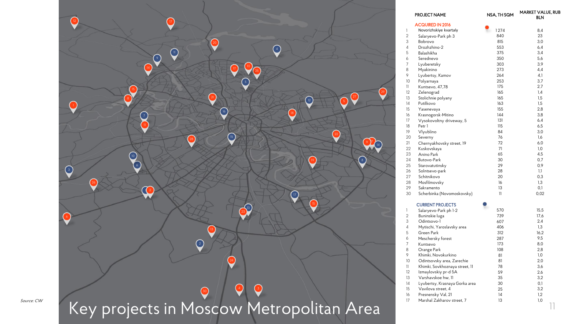

|                | <b>PROJECT NAME</b>            | NSA, TH SQM | <b>MARKET VALUE, RUB</b><br><b>BLN</b> |
|----------------|--------------------------------|-------------|----------------------------------------|
|                | <b>ACQUIRED IN 2016</b>        |             |                                        |
| 1              | Novorizhskiye kvartaly         | 1274        | 8,4                                    |
| $\overline{2}$ | Salaryevo-Park ph 3            | 840         | 23                                     |
| 3              | Bobrovo                        | 815         | 3,0                                    |
| 4              | Drozhzhino-2                   | 553         | 6,4                                    |
| 5              | Balashikha                     | 375         | 3,4                                    |
| 6              | Serednevo                      | 350         | 5,6                                    |
| 7              | Lyuberetsky                    | 303         | 3,9                                    |
| 8              | Myakinino                      | 273         | 4,4                                    |
| 9              | Lyubertsy, Kamov               | 264         | 4,1                                    |
| 10             | Polyarnaya                     | 253         | 3,7                                    |
| 11             | Kuntsevo, 47,78                | 175         | 2,7                                    |
| 12             | Zelenograd                     | 165         | 1,4                                    |
| 13             | Stolichnie polyany             | 165         | 1,5                                    |
| 14             | Putilkovo                      | 163         | 1,5                                    |
| 15             | Yasenevaya                     | 155         | 2,8                                    |
| 16             | Krasnogorsk-Mitino             | 144         | 3,8                                    |
| 17             | Vysokovoltny driveway, 5       | 131         | 6,4                                    |
| 18             | Petr 1                         | 115         | 6,5                                    |
| 19             | Vlyublino                      | 84          | 3,0                                    |
| 20             | Severny                        | 76          | 1,6                                    |
| 21             | Chernyakhovsky street, 19      | 72          | 6,0                                    |
| 22             | Kuskovskaya                    | 71          | 1,0                                    |
| 23             | Anino Park                     | 65          | 4,5                                    |
| 24             | Butovo-Park                    | 30          | 0,7                                    |
| 25             | Starovatutinsky                | 29          | 0,9                                    |
| 26             | Solntsevo-park                 | 28          | 1,1                                    |
| 27             | Schitnikovo                    | 20          | 0,3                                    |
| 28             | Mosfilmovsky                   | 16          | 1,3                                    |
| 29             | Sakramento                     | 13          | 0,1                                    |
| 30             | Scherbinka (Novomoskovsky)     | 11          | 0,02                                   |
|                | <b>CURRENT PROJECTS</b>        | 2           |                                        |
| 1              | Salaryevo-Park ph 1-2          | 570         | 15,5                                   |
| $\overline{2}$ | Buninskie luga                 | 739         | 17,6                                   |
| 3              | Odintsovo-1                    | 607         | 2,4                                    |
| 4              | Mytischi, Yaroslavsky area     | 406         | 1,3                                    |
| 5              | Green Park                     | 312         | 16,2                                   |
| 6              | Meschersky forest              | 287         | 9,5                                    |
| 7              | Kuntsevo                       | 173         | 8,0                                    |
| 8              | Orange Park                    | 108         | 2,8                                    |
| 9              | Khimki, Novokurkino            | 81          | $1,0$                                  |
| 10             | Odintsovsky area, Zarechie     | 81          | 2,0                                    |
| 11             | Khimki, Sovkhoznaya street, 11 | 78          | 3,6                                    |
| 12             | Izmaylovskiy pr-d 5A           | 59          | 2,6                                    |
| 13             | Varshavskoe hw, 11             | 35          | 3,2                                    |
| 14             | Lyubertsy, Krasnaya Gorka area | 30          | 0,1                                    |
| 15             | Vavilova street, 4             | 25          | 3,2                                    |
| 16             | Presnensky Val, 21             | 14          | 1,2                                    |
| 17             | Marshal Zakharov street, 7     | 13          | 1,0                                    |
|                |                                |             |                                        |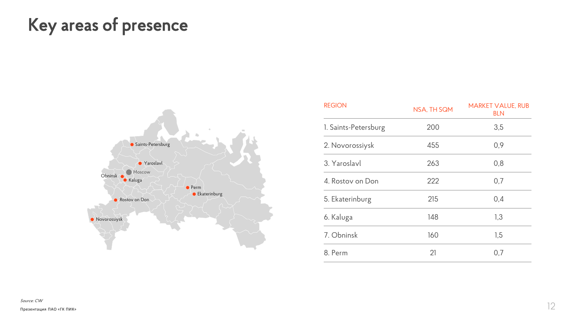### Key areas of presence



| <b>REGION</b>        | NSA, TH SQM | <b>MARKET VALUE, RUB</b><br><b>BLN</b> |
|----------------------|-------------|----------------------------------------|
| 1. Saints-Petersburg | 200         | 3,5                                    |
| 2. Novorossiysk      | 455         | 0,9                                    |
| 3. Yaroslavl         | 263         | 0,8                                    |
| 4. Rostov on Don     | 222         | 0,7                                    |
| 5. Ekaterinburg      | 215         | 0,4                                    |
| 6. Kaluga            | 148         | 1,3                                    |
| 7. Obninsk           | 160         | 1,5                                    |
| 8. Perm              | 21          | 0,7                                    |

Source: CW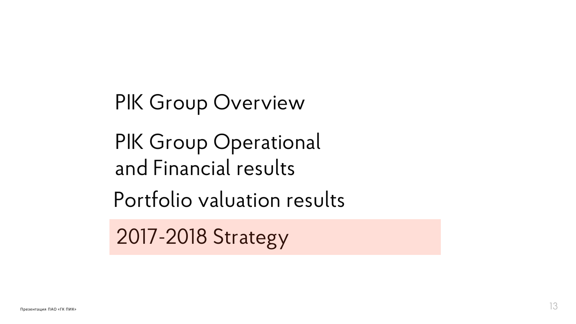PIK Group Operational and Financial results

Portfolio valuation results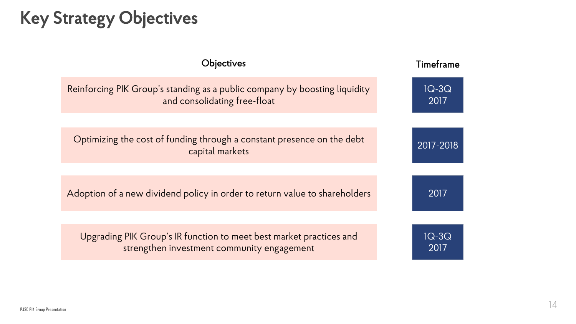### Key Strategy Objectives

| Objectives                                                                                                        | Timeframe       |
|-------------------------------------------------------------------------------------------------------------------|-----------------|
| Reinforcing PIK Group's standing as a public company by boosting liquidity<br>and consolidating free-float        | $1Q-3Q$<br>2017 |
|                                                                                                                   |                 |
| Optimizing the cost of funding through a constant presence on the debt<br>capital markets                         | 2017-2018       |
|                                                                                                                   |                 |
| Adoption of a new dividend policy in order to return value to shareholders                                        | 2017            |
|                                                                                                                   |                 |
| Upgrading PIK Group's IR function to meet best market practices and<br>strengthen investment community engagement | $1Q-3Q$<br>2017 |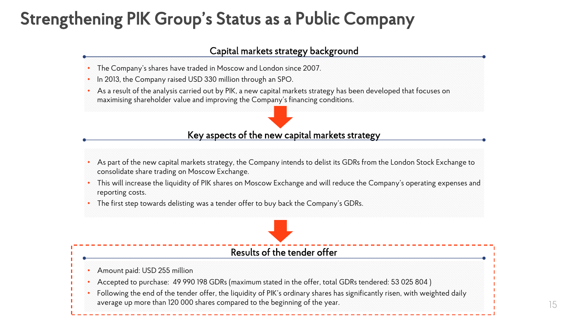### Strengthening PIK Group's Status as a Public Company

#### Capital markets strategy background

- The Company's shares have traded in Moscow and London since 2007.
- In 2013, the Company raised USD 330 million through an SPO.
- As a result of the analysis carried out by PIK, a new capital markets strategy has been developed that focuses on maximising shareholder value and improving the Company's financing conditions.

#### Key aspects of the new capital markets strategy

- As part of the new capital markets strategy, the Company intends to delist its GDRs from the London Stock Exchange to consolidate share trading on Moscow Exchange.
- This will increase the liquidity of PIK shares on Moscow Exchange and will reduce the Company's operating expenses and reporting costs.
- The first step towards delisting was a tender offer to buy back the Company's GDRs.

#### Results of the tender offer

- Amount paid: USD 255 million
- Accepted to purchase: 49 990 198 GDRs (maximum stated in the offer, total GDRs tendered: 53 025 804 )
- Following the end of the tender offer, the liquidity of PIK's ordinary shares has significantly risen, with weighted daily average up more than 120 000 shares compared to the beginning of the year.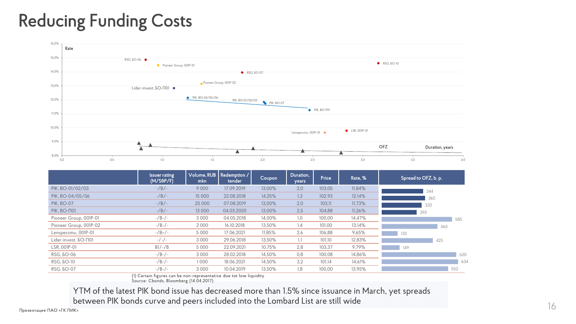### Reducing Funding Costs



|                             | <b>Issuer rating</b><br>(M/SBP/F) | Volume, RUB<br>mkn | Redemption /<br>tender | Coupon | Duration,<br>years | Price  | Rate, % | Spread to OFZ, b. p. |     |
|-----------------------------|-----------------------------------|--------------------|------------------------|--------|--------------------|--------|---------|----------------------|-----|
| PIK. BO-01/02/03            | $-$ /B/ $-$                       | 9000               | 17.09.2019             | 13.00% | 2,0                | 103.05 | 11,84%  |                      | 344 |
| PIK. BO-04/05/06            | $-$ /B/ $-$                       | 15 000             | 22.08.2018             | 14,25% | 1,3                | 102,93 | 12,14%  |                      | 360 |
| <b>PIK. BO-07</b>           | $-$ /B/ $-$                       | 25 000             | 07.08.2019             | 13.00% | 2,0                | 103.11 | 11,73%  | 333                  |     |
| <b>РІК, ВО-П01</b>          | $-$ /B/ $-$                       | 13 000             | 04.03.2020             | 13,00% | 2,5                | 104,88 | 11,26%  | 292                  |     |
| Pioneer Group, 001P-01      | -/B-/-                            | 3 0 0 0            | 04.05.2018             | 14,00% | 1,0                | 100,00 | 14,47%  |                      | 585 |
| Pioneer Group, 001P-02      | $-/B$ - $/$ -                     | 2000               | 16.10.2018             | 13,50% | 1,4                | 101,00 | 13,14%  |                      | 463 |
| Lenspecsmu, 001P-01         | $-$ /B+/-                         | 5 0 0 0            | 17.06.2021             | 11.85% | 2.6                | 106,88 | 9,65%   | 133                  |     |
| Lider-invest, <b>60-N01</b> | $-/-/-$                           | 3 0 0 0            | 29.06.2018             | 13,50% | 1,1                | 101,10 | 12,83%  |                      | 425 |
| LSR. 001P-01                | $B1/-/B$                          | 5 0 0 0            | 22.09.2021             | 10.75% | 2,8                | 103,37 | 9,79%   | 149                  |     |
| RSG, <b>60-06</b>           | $-/B$ - $/$ -                     | 3 0 0 0            | 28.02.2018             | 14.50% | 0.8                | 100.08 | 14,86%  |                      | 620 |
| RSG. 50-10                  | $-/B$ - $/$ -                     | 1000               | 18.06.2021             | 14,50% | 3,2                | 101.14 | 14,61%  |                      | 634 |
| RSG, <b>60-07</b>           | $-/B$ - $/$ -                     | 3 0 0 0            | 10.04.2019             | 13,50% | 1,8                | 100,00 | 13,95%  |                      | 552 |

(1) Certain figures can be non-representative due tot low liquidity

Source: Cbonds, Bloomberg (14.04.2017)

YTM of the latest PIK bond issue has decreased more than 1.5% since issuance in March, yet spreads between PIK bonds curve and peers included into the Lombard List are still wide 16 and 16 and 16 and 16 and 16 metal 16 and 16 and 16 and 16 and 16 and 16 and 16 and 16 and 16 and 16 and 16 and 16 and 16 and 16 and 16 and